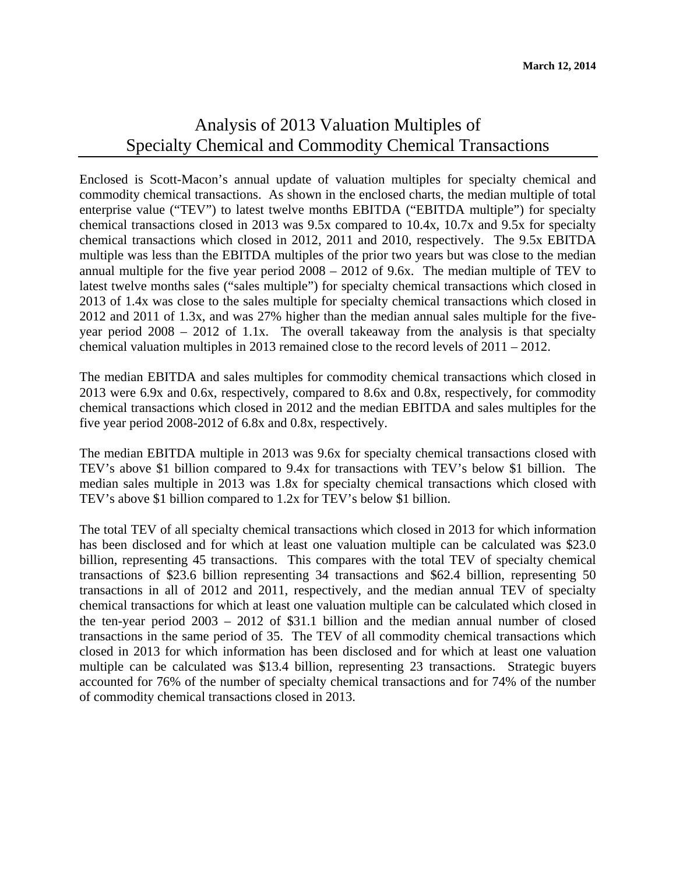## Analysis of 2013 Valuation Multiples of Specialty Chemical and Commodity Chemical Transactions

Enclosed is Scott-Macon's annual update of valuation multiples for specialty chemical and commodity chemical transactions. As shown in the enclosed charts, the median multiple of total enterprise value ("TEV") to latest twelve months EBITDA ("EBITDA multiple") for specialty chemical transactions closed in 2013 was 9.5x compared to 10.4x, 10.7x and 9.5x for specialty chemical transactions which closed in 2012, 2011 and 2010, respectively. The 9.5x EBITDA multiple was less than the EBITDA multiples of the prior two years but was close to the median annual multiple for the five year period 2008 – 2012 of 9.6x. The median multiple of TEV to latest twelve months sales ("sales multiple") for specialty chemical transactions which closed in 2013 of 1.4x was close to the sales multiple for specialty chemical transactions which closed in 2012 and 2011 of 1.3x, and was 27% higher than the median annual sales multiple for the fiveyear period 2008 – 2012 of 1.1x. The overall takeaway from the analysis is that specialty chemical valuation multiples in 2013 remained close to the record levels of 2011 – 2012.

The median EBITDA and sales multiples for commodity chemical transactions which closed in 2013 were 6.9x and 0.6x, respectively, compared to 8.6x and 0.8x, respectively, for commodity chemical transactions which closed in 2012 and the median EBITDA and sales multiples for the five year period 2008-2012 of 6.8x and 0.8x, respectively.

The median EBITDA multiple in 2013 was 9.6x for specialty chemical transactions closed with TEV's above \$1 billion compared to 9.4x for transactions with TEV's below \$1 billion. The median sales multiple in 2013 was 1.8x for specialty chemical transactions which closed with TEV's above \$1 billion compared to 1.2x for TEV's below \$1 billion.

The total TEV of all specialty chemical transactions which closed in 2013 for which information has been disclosed and for which at least one valuation multiple can be calculated was \$23.0 billion, representing 45 transactions. This compares with the total TEV of specialty chemical transactions of \$23.6 billion representing 34 transactions and \$62.4 billion, representing 50 transactions in all of 2012 and 2011, respectively, and the median annual TEV of specialty chemical transactions for which at least one valuation multiple can be calculated which closed in the ten-year period 2003 – 2012 of \$31.1 billion and the median annual number of closed transactions in the same period of 35. The TEV of all commodity chemical transactions which closed in 2013 for which information has been disclosed and for which at least one valuation multiple can be calculated was \$13.4 billion, representing 23 transactions. Strategic buyers accounted for 76% of the number of specialty chemical transactions and for 74% of the number of commodity chemical transactions closed in 2013.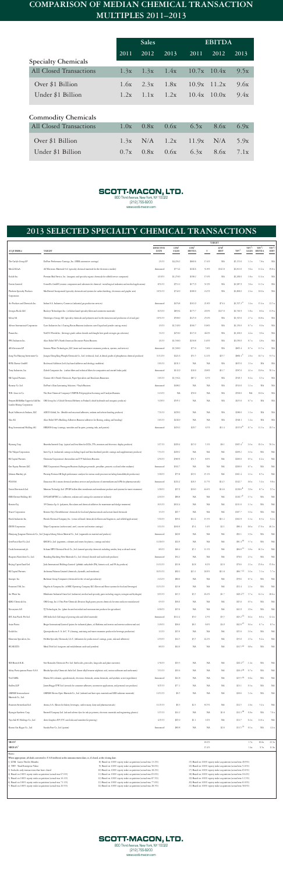## **COMPARISON OF MEDIAN CHEMICAL TRANSACTION MULTIPLES 2011–2013**

|                                | <b>Sales</b> |      |                                      | <b>EBITDA</b>   |                                      |      |
|--------------------------------|--------------|------|--------------------------------------|-----------------|--------------------------------------|------|
|                                | 2011         | 2012 | 2013                                 | 2011            | 2012                                 | 2013 |
| <b>Specialty Chemicals</b>     |              |      |                                      |                 |                                      |      |
| <b>All Closed Transactions</b> |              |      |                                      |                 | $1.3x$ $1.3x$ $1.4x$ $10.7x$ $10.4x$ | 9.5x |
| Over \$1 Billion               |              |      | $1.6x$ $2.3x$ $1.8x$ $10.9x$ $11.2x$ |                 |                                      | 9.6x |
| Under \$1 Billion              | 1.2x         |      | $1.1x$ $1.2x$                        | $10.4x$ $10.0x$ |                                      | 9.4x |

## **Commodity Chemicals**

| All Closed Transactions |  | $1.0x$ $0.8x$ $0.6x$ $6.5x$ $8.6x$ $6.9x$ |  |
|-------------------------|--|-------------------------------------------|--|
| Over \$1 Billion        |  | 1.3x $N/A$ 1.2x 11.9x $N/A$ 5.9x          |  |
| Under \$1 Billion       |  | $0.7x$ $0.8x$ $0.6x$ $6.3x$ $8.6x$ $7.1x$ |  |



(212) 755-8200 www.scott-macon.com